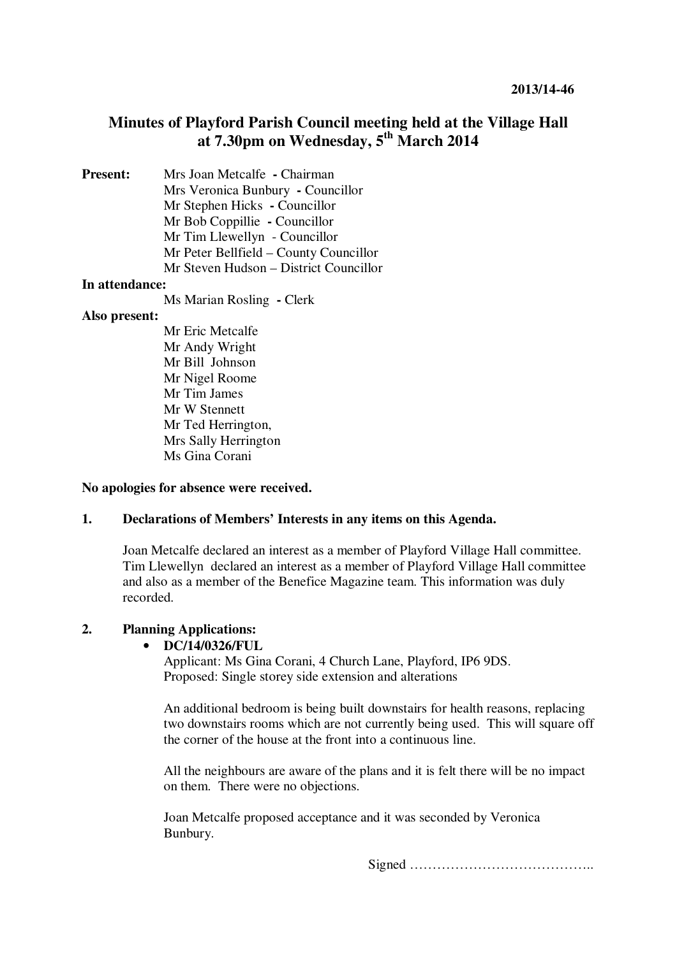# **Minutes of Playford Parish Council meeting held at the Village Hall at 7.30pm on Wednesday, 5th March 2014**

**Present:** Mrs Joan Metcalfe **- Chairman** Mrs Veronica Bunbury **-** Councillor Mr Stephen Hicks **-** Councillor Mr Bob Coppillie **-** Councillor Mr Tim Llewellyn - Councillor Mr Peter Bellfield – County Councillor Mr Steven Hudson – District Councillor

#### **In attendance:**

Ms Marian Rosling **-** Clerk

#### **Also present:**

Mr Eric Metcalfe Mr Andy Wright Mr Bill Johnson Mr Nigel Roome Mr Tim James Mr W Stennett Mr Ted Herrington, Mrs Sally Herrington Ms Gina Corani

#### **No apologies for absence were received.**

### **1. Declarations of Members' Interests in any items on this Agenda.**

Joan Metcalfe declared an interest as a member of Playford Village Hall committee. Tim Llewellyndeclared an interest as a member of Playford Village Hall committee and also as a member of the Benefice Magazine team. This information was duly recorded.

## **2. Planning Applications:**

### • **DC/14/0326/FUL**

Applicant: Ms Gina Corani, 4 Church Lane, Playford, IP6 9DS. Proposed: Single storey side extension and alterations

An additional bedroom is being built downstairs for health reasons, replacing two downstairs rooms which are not currently being used. This will square off the corner of the house at the front into a continuous line.

All the neighbours are aware of the plans and it is felt there will be no impact on them. There were no objections.

Joan Metcalfe proposed acceptance and it was seconded by Veronica Bunbury.

Signed …………………………………..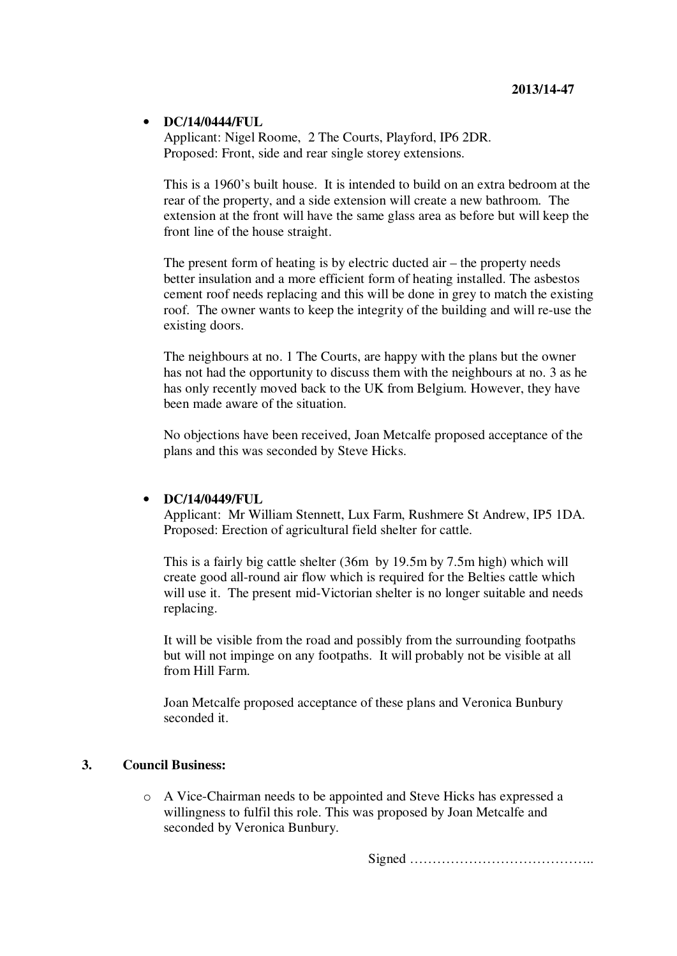### • **DC/14/0444/FUL**

Applicant: Nigel Roome, 2 The Courts, Playford, IP6 2DR. Proposed: Front, side and rear single storey extensions.

This is a 1960's built house. It is intended to build on an extra bedroom at the rear of the property, and a side extension will create a new bathroom. The extension at the front will have the same glass area as before but will keep the front line of the house straight.

The present form of heating is by electric ducted air – the property needs better insulation and a more efficient form of heating installed. The asbestos cement roof needs replacing and this will be done in grey to match the existing roof. The owner wants to keep the integrity of the building and will re-use the existing doors.

The neighbours at no. 1 The Courts, are happy with the plans but the owner has not had the opportunity to discuss them with the neighbours at no. 3 as he has only recently moved back to the UK from Belgium. However, they have been made aware of the situation.

No objections have been received, Joan Metcalfe proposed acceptance of the plans and this was seconded by Steve Hicks.

## • **DC/14/0449/FUL**

Applicant: Mr William Stennett, Lux Farm, Rushmere St Andrew, IP5 1DA. Proposed: Erection of agricultural field shelter for cattle.

This is a fairly big cattle shelter (36m by 19.5m by 7.5m high) which will create good all-round air flow which is required for the Belties cattle which will use it. The present mid-Victorian shelter is no longer suitable and needs replacing.

It will be visible from the road and possibly from the surrounding footpaths but will not impinge on any footpaths. It will probably not be visible at all from Hill Farm.

Joan Metcalfe proposed acceptance of these plans and Veronica Bunbury seconded it.

### **3. Council Business:**

o A Vice-Chairman needs to be appointed and Steve Hicks has expressed a willingness to fulfil this role. This was proposed by Joan Metcalfe and seconded by Veronica Bunbury.

Signed …………………………………..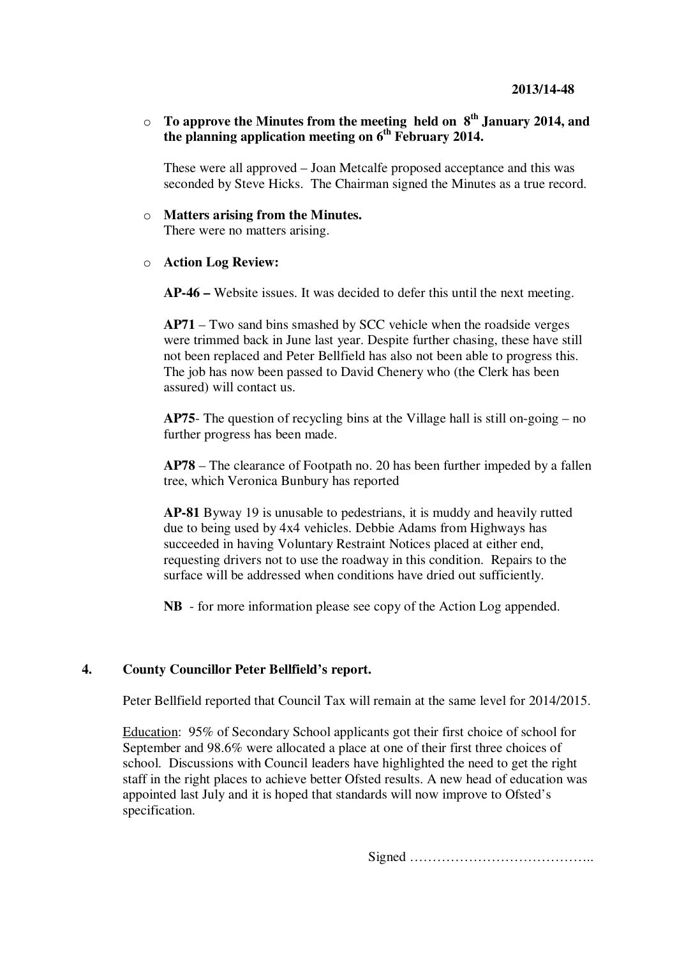o **To approve the Minutes from the meeting held on 8th January 2014, and the planning application meeting on 6th February 2014.** 

These were all approved – Joan Metcalfe proposed acceptance and this was seconded by Steve Hicks. The Chairman signed the Minutes as a true record.

o **Matters arising from the Minutes.** There were no matters arising.

#### o **Action Log Review:**

**AP-46 –** Website issues. It was decided to defer this until the next meeting.

**AP71** – Two sand bins smashed by SCC vehicle when the roadside verges were trimmed back in June last year. Despite further chasing, these have still not been replaced and Peter Bellfield has also not been able to progress this. The job has now been passed to David Chenery who (the Clerk has been assured) will contact us.

**AP75**- The question of recycling bins at the Village hall is still on-going – no further progress has been made.

**AP78** – The clearance of Footpath no. 20 has been further impeded by a fallen tree, which Veronica Bunbury has reported

**AP-81** Byway 19 is unusable to pedestrians, it is muddy and heavily rutted due to being used by 4x4 vehicles. Debbie Adams from Highways has succeeded in having Voluntary Restraint Notices placed at either end, requesting drivers not to use the roadway in this condition. Repairs to the surface will be addressed when conditions have dried out sufficiently.

**NB** - for more information please see copy of the Action Log appended.

#### **4. County Councillor Peter Bellfield's report.**

Peter Bellfield reported that Council Tax will remain at the same level for 2014/2015.

Education: 95% of Secondary School applicants got their first choice of school for September and 98.6% were allocated a place at one of their first three choices of school. Discussions with Council leaders have highlighted the need to get the right staff in the right places to achieve better Ofsted results. A new head of education was appointed last July and it is hoped that standards will now improve to Ofsted's specification.

Signed …………………………………..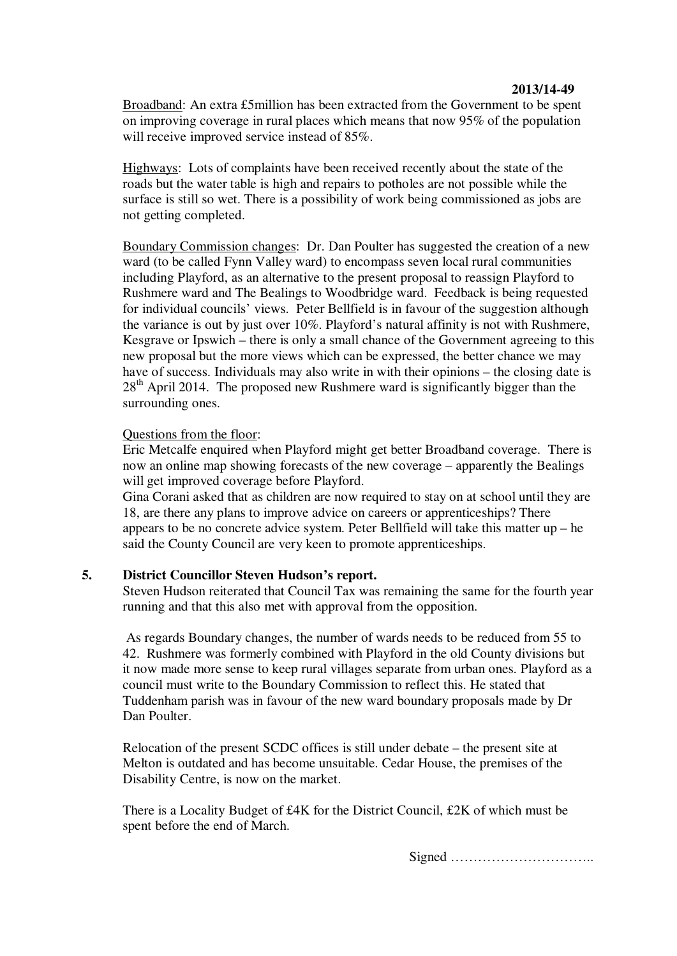Broadband: An extra £5million has been extracted from the Government to be spent on improving coverage in rural places which means that now 95% of the population will receive improved service instead of 85%.

Highways: Lots of complaints have been received recently about the state of the roads but the water table is high and repairs to potholes are not possible while the surface is still so wet. There is a possibility of work being commissioned as jobs are not getting completed.

Boundary Commission changes: Dr. Dan Poulter has suggested the creation of a new ward (to be called Fynn Valley ward) to encompass seven local rural communities including Playford, as an alternative to the present proposal to reassign Playford to Rushmere ward and The Bealings to Woodbridge ward. Feedback is being requested for individual councils' views. Peter Bellfield is in favour of the suggestion although the variance is out by just over 10%. Playford's natural affinity is not with Rushmere, Kesgrave or Ipswich – there is only a small chance of the Government agreeing to this new proposal but the more views which can be expressed, the better chance we may have of success. Individuals may also write in with their opinions – the closing date is  $28<sup>th</sup>$  April 2014. The proposed new Rushmere ward is significantly bigger than the surrounding ones.

### Questions from the floor:

Eric Metcalfe enquired when Playford might get better Broadband coverage. There is now an online map showing forecasts of the new coverage – apparently the Bealings will get improved coverage before Playford.

Gina Corani asked that as children are now required to stay on at school until they are 18, are there any plans to improve advice on careers or apprenticeships? There appears to be no concrete advice system. Peter Bellfield will take this matter up – he said the County Council are very keen to promote apprenticeships.

## **5. District Councillor Steven Hudson's report.**

Steven Hudson reiterated that Council Tax was remaining the same for the fourth year running and that this also met with approval from the opposition.

 As regards Boundary changes, the number of wards needs to be reduced from 55 to 42. Rushmere was formerly combined with Playford in the old County divisions but it now made more sense to keep rural villages separate from urban ones. Playford as a council must write to the Boundary Commission to reflect this. He stated that Tuddenham parish was in favour of the new ward boundary proposals made by Dr Dan Poulter.

Relocation of the present SCDC offices is still under debate – the present site at Melton is outdated and has become unsuitable. Cedar House, the premises of the Disability Centre, is now on the market.

There is a Locality Budget of £4K for the District Council, £2K of which must be spent before the end of March.

Signed …………………………..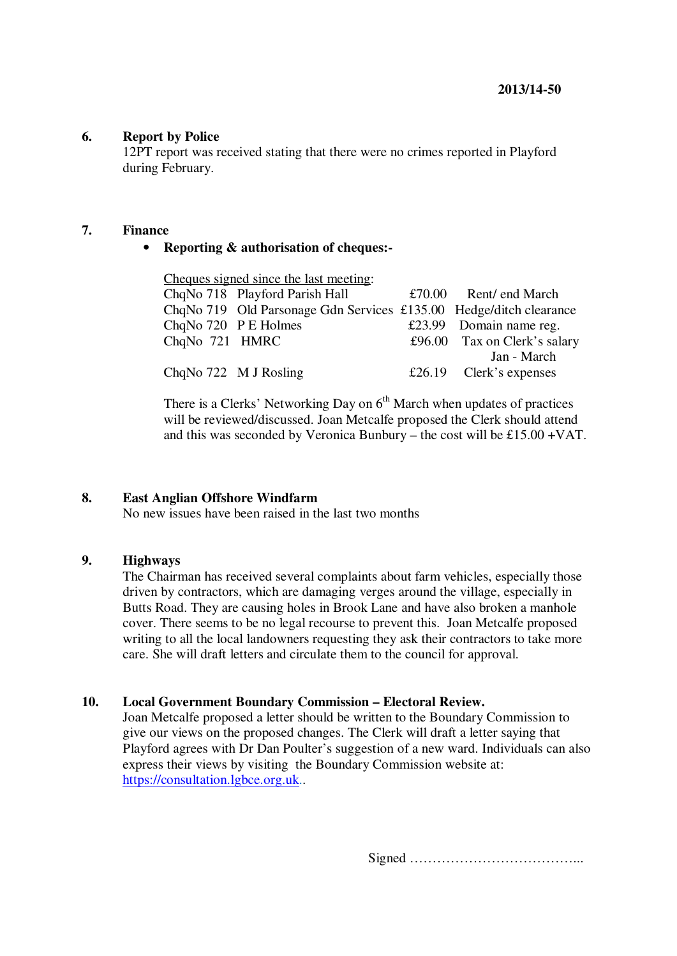### **6. Report by Police**

12PT report was received stating that there were no crimes reported in Playford during February.

#### **7. Finance**

## • **Reporting & authorisation of cheques:-**

| Cheques signed since the last meeting: |                                                                    |  |                              |
|----------------------------------------|--------------------------------------------------------------------|--|------------------------------|
|                                        | ChqNo 718 Playford Parish Hall                                     |  | $£70.00$ Rent/ end March     |
|                                        | ChqNo 719 Old Parsonage Gdn Services £135.00 Hedge/ditch clearance |  |                              |
| ChqNo 720 P E Holmes                   |                                                                    |  | £23.99 Domain name reg.      |
| ChqNo 721 HMRC                         |                                                                    |  | £96.00 Tax on Clerk's salary |
|                                        |                                                                    |  | Jan - March                  |
| ChqNo 722 M J Rosling                  |                                                                    |  | £26.19 Clerk's expenses      |

There is a Clerks' Networking Day on  $6<sup>th</sup>$  March when updates of practices will be reviewed/discussed. Joan Metcalfe proposed the Clerk should attend and this was seconded by Veronica Bunbury – the cost will be £15.00 +VAT.

### **8. East Anglian Offshore Windfarm**

No new issues have been raised in the last two months

## **9. Highways**

The Chairman has received several complaints about farm vehicles, especially those driven by contractors, which are damaging verges around the village, especially in Butts Road. They are causing holes in Brook Lane and have also broken a manhole cover. There seems to be no legal recourse to prevent this. Joan Metcalfe proposed writing to all the local landowners requesting they ask their contractors to take more care. She will draft letters and circulate them to the council for approval.

### **10. Local Government Boundary Commission – Electoral Review.**

Joan Metcalfe proposed a letter should be written to the Boundary Commission to give our views on the proposed changes. The Clerk will draft a letter saying that Playford agrees with Dr Dan Poulter's suggestion of a new ward. Individuals can also express their views by visiting the Boundary Commission website at: https://consultation.lgbce.org.uk..

Signed ………………………………...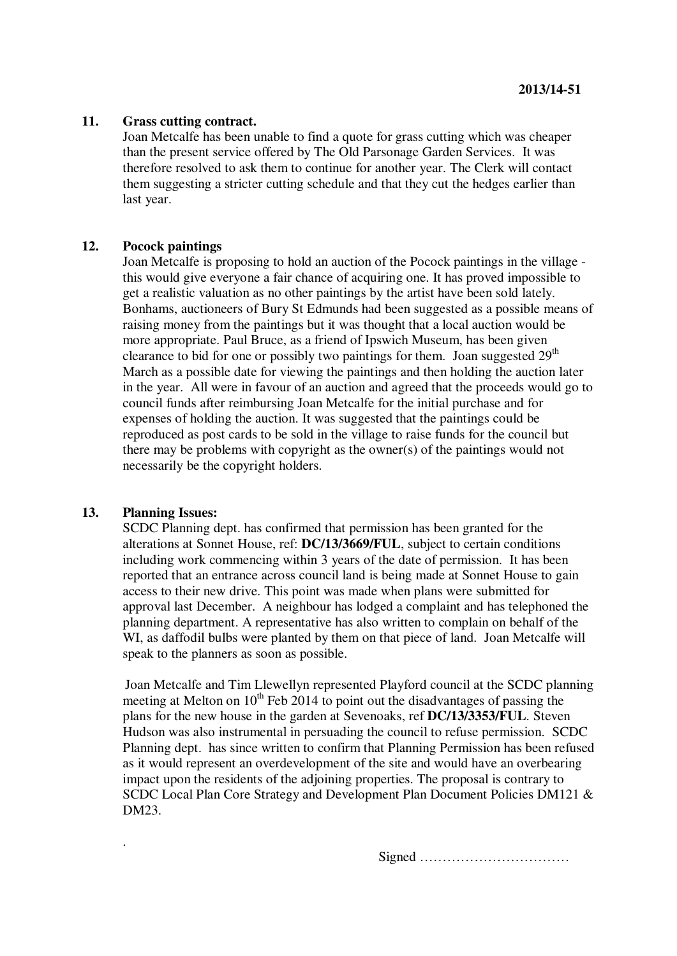#### **11. Grass cutting contract.**

Joan Metcalfe has been unable to find a quote for grass cutting which was cheaper than the present service offered by The Old Parsonage Garden Services. It was therefore resolved to ask them to continue for another year. The Clerk will contact them suggesting a stricter cutting schedule and that they cut the hedges earlier than last year.

#### **12. Pocock paintings**

Joan Metcalfe is proposing to hold an auction of the Pocock paintings in the village this would give everyone a fair chance of acquiring one. It has proved impossible to get a realistic valuation as no other paintings by the artist have been sold lately. Bonhams, auctioneers of Bury St Edmunds had been suggested as a possible means of raising money from the paintings but it was thought that a local auction would be more appropriate. Paul Bruce, as a friend of Ipswich Museum, has been given clearance to bid for one or possibly two paintings for them. Joan suggested  $29<sup>th</sup>$ March as a possible date for viewing the paintings and then holding the auction later in the year. All were in favour of an auction and agreed that the proceeds would go to council funds after reimbursing Joan Metcalfe for the initial purchase and for expenses of holding the auction. It was suggested that the paintings could be reproduced as post cards to be sold in the village to raise funds for the council but there may be problems with copyright as the owner(s) of the paintings would not necessarily be the copyright holders.

#### **13. Planning Issues:**

.

SCDC Planning dept. has confirmed that permission has been granted for the alterations at Sonnet House, ref: **DC/13/3669/FUL**, subject to certain conditions including work commencing within 3 years of the date of permission. It has been reported that an entrance across council land is being made at Sonnet House to gain access to their new drive. This point was made when plans were submitted for approval last December. A neighbour has lodged a complaint and has telephoned the planning department. A representative has also written to complain on behalf of the WI, as daffodil bulbs were planted by them on that piece of land. Joan Metcalfe will speak to the planners as soon as possible.

Joan Metcalfe and Tim Llewellyn represented Playford council at the SCDC planning meeting at Melton on  $10^{th}$  Feb 2014 to point out the disadvantages of passing the plans for the new house in the garden at Sevenoaks, ref **DC/13/3353/FUL**. Steven Hudson was also instrumental in persuading the council to refuse permission. SCDC Planning dept. has since written to confirm that Planning Permission has been refused as it would represent an overdevelopment of the site and would have an overbearing impact upon the residents of the adjoining properties. The proposal is contrary to SCDC Local Plan Core Strategy and Development Plan Document Policies DM121 & DM23.

Signed ……………………………